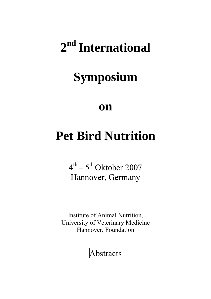# **2nd International**

# **Symposium**

# **on**

# **Pet Bird Nutrition**

 $4<sup>th</sup> - 5<sup>th</sup>$  Oktober 2007 Hannover, Germany

Institute of Animal Nutrition, University of Veterinary Medicine Hannover, Foundation

Abstracts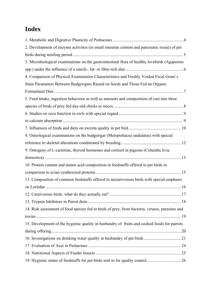## <span id="page-1-0"></span>**Index**

| 2. Development of enzyme activities (in small intestine content and pancreatic tissue) of pet   |  |
|-------------------------------------------------------------------------------------------------|--|
|                                                                                                 |  |
| 3. Microbiological examinations on the gastrointestinal flora of healthy lovebirds (Agapornis   |  |
|                                                                                                 |  |
| 4. Comparison of Physical Examination Characteristics and Freshly Voided Fecal Gram's           |  |
| Stain Parameters Between Budgerigars Raised on Seeds and Those Fed an Organic                   |  |
|                                                                                                 |  |
| 5. Feed intake, ingestion behaviour as well as amounts and composition of cast into three       |  |
|                                                                                                 |  |
|                                                                                                 |  |
|                                                                                                 |  |
|                                                                                                 |  |
| 8. Osteological examinations on the budgerigar (Melopsittacus undulatus) with special           |  |
|                                                                                                 |  |
| 9. Ontogeny of L-carnitine, thyroid hormones and cortisol in pigeons (Columba livia             |  |
|                                                                                                 |  |
| 10. Protein content and amino acid composition in feedstuffs offered to pet birds in            |  |
|                                                                                                 |  |
| 11. Composition of common feedstuffs offered to nectarivorous birds with special emphasis       |  |
|                                                                                                 |  |
|                                                                                                 |  |
|                                                                                                 |  |
| 14. Risk assessment of food species fed to birds of prey, from bacteria, viruses, parasites and |  |
|                                                                                                 |  |
| 15. Development of the hygienic quality in husbandry of fruits and cooked foods for parrots     |  |
|                                                                                                 |  |
|                                                                                                 |  |
|                                                                                                 |  |
|                                                                                                 |  |
|                                                                                                 |  |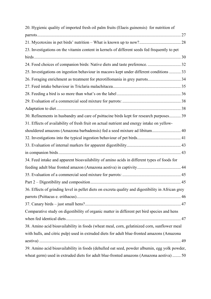| 20. Hygienic quality of imported fresh oil palm fruits (Elaeis guinensis) for nutrition of         |    |
|----------------------------------------------------------------------------------------------------|----|
|                                                                                                    |    |
|                                                                                                    |    |
| 23. Investigations on the vitamin content in kernels of different seeds fed frequently to pet      |    |
|                                                                                                    |    |
|                                                                                                    |    |
| 25. Investigations on ingestion behaviour in macaws kept under different conditions  33            |    |
| 26. Foraging enrichment as treatment for pterotillomania in grey parrots 34                        |    |
|                                                                                                    |    |
|                                                                                                    |    |
|                                                                                                    |    |
|                                                                                                    |    |
| 30. Refinements in husbandry and care of psittacine birds kept for research purposes 39            |    |
| 31. Effects of availability of fresh fruit on actual nutrient and energy intake on yellow-         |    |
| shouldered amazons (Amazona barbadensis) fed a seed mixture ad libitum 40                          |    |
|                                                                                                    |    |
|                                                                                                    |    |
|                                                                                                    |    |
| 34. Feed intake and apparent bioavailability of amino acids in different types of foods for        |    |
|                                                                                                    |    |
|                                                                                                    |    |
| Part 2 – Digestibility and composition                                                             | 45 |
| 36. Effects of grinding level in pellet diets on excreta quality and digestibility in African grey |    |
|                                                                                                    |    |
|                                                                                                    |    |
| Comparative study on digestibility of organic matter in different pet bird species and hens        |    |
|                                                                                                    |    |
| 38. Amino acid bioavailability in foods (wheat meal, corn, gelatinized corn, sunflower meal        |    |
| with hulls, and citric pulp) used in extruded diets for adult blue-fronted amazons (Amazona        |    |
|                                                                                                    |    |
| 39. Amino acid bioavailability in foods (dehulled oat seed, powder albumin, egg yolk powder,       |    |
| wheat germ) used in extruded diets for adult blue-fronted amazons (Amazona aestiva)  50            |    |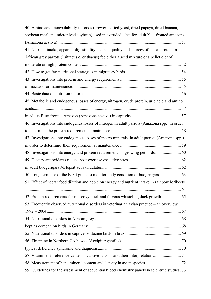| 40. Amino acid bioavailability in foods (brewer's dried yeast, dried papaya, dried banana,       |  |
|--------------------------------------------------------------------------------------------------|--|
| soybean meal and micronized soybean) used in extruded diets for adult blue-fronted amazons       |  |
|                                                                                                  |  |
| 41. Nutrient intake, apparent digestibility, excreta quality and sources of faecal protein in    |  |
| African grey parrots (Psittacus e. erithacus) fed either a seed mixture or a pellet diet of      |  |
|                                                                                                  |  |
|                                                                                                  |  |
|                                                                                                  |  |
|                                                                                                  |  |
|                                                                                                  |  |
| 45. Metabolic and endogenous losses of energy, nitrogen, crude protein, uric acid and amino      |  |
|                                                                                                  |  |
|                                                                                                  |  |
| 46. Investigations into endogenus losses of nitrogen in adult parrots (Amazona spp.) in order    |  |
|                                                                                                  |  |
| 47. Investigations into endogenous losses of macro minerals in adult parrots (Amazona spp.)      |  |
|                                                                                                  |  |
| 48. Investigations into energy and protein requirements in growing pet birds 60                  |  |
|                                                                                                  |  |
|                                                                                                  |  |
|                                                                                                  |  |
| 51. Effect of nectar food dilution and apple on energy and nutrient intake in rainbow lorikeets  |  |
|                                                                                                  |  |
| 52. Protein requirements for muscovy duck and fulvous whisteling duck growth 65                  |  |
| 53. Frequently observed nutritional disorders in veterinarian avian practice - an overview       |  |
|                                                                                                  |  |
|                                                                                                  |  |
|                                                                                                  |  |
|                                                                                                  |  |
|                                                                                                  |  |
|                                                                                                  |  |
|                                                                                                  |  |
|                                                                                                  |  |
| 59. Guidelines for the assessment of sequential blood chemistry panels in scientific studies. 73 |  |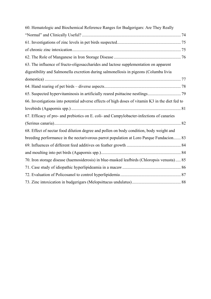| 60. Hematologic and Biochemical Reference Ranges for Budgerigars: Are They Really                |  |
|--------------------------------------------------------------------------------------------------|--|
|                                                                                                  |  |
|                                                                                                  |  |
|                                                                                                  |  |
|                                                                                                  |  |
| 63. The influence of fructo-oligosaccharides and lactose supplementation on apparent             |  |
| digestibility and Salmonella excretion during salmonellosis in pigeons (Columba livia            |  |
|                                                                                                  |  |
|                                                                                                  |  |
|                                                                                                  |  |
| 66. Investigations into potential adverse effects of high doses of vitamin K3 in the diet fed to |  |
|                                                                                                  |  |
| 67. Efficacy of pro- and prebiotics on E. coli- and Campylobacter-infections of canaries         |  |
|                                                                                                  |  |
| 68. Effect of nectar food dilution degree and pollen on body condition, body weight and          |  |
| breeding performance in the nectarivorous parrot population at Loro Parque Fundacion 83          |  |
|                                                                                                  |  |
|                                                                                                  |  |
| 70. Iron storage disease (haemosiderosis) in blue-masked leafbirds (Chloropsis venusta) 85       |  |
|                                                                                                  |  |
|                                                                                                  |  |
|                                                                                                  |  |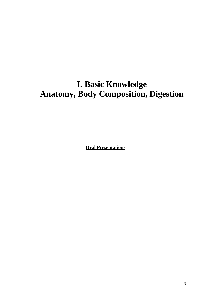# **I. Basic Knowledge Anatomy, Body Composition, Digestion**

**Oral Presentations**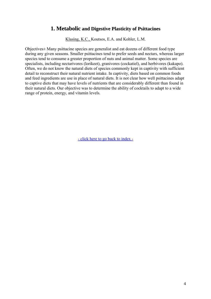### **1. Metabolic and Digestive Plasticity of Psittacines**

Klasing, K.C., Koutsos, E.A. and Kohler, L.M.

<span id="page-6-0"></span>Objectives± Many psittacine species are generalist and eat dozens of different food type during any given seasons. Smaller psittacines tend to prefer seeds and nectars, whereas larger species tend to consume a greater proportion of nuts and animal matter. Some species are specialists, including nectarivores (lorikeet), granivores (cockatiel), and herbivores (kakapo). Often, we do not know the natural diets of species commonly kept in captivity with sufficient detail to reconstruct their natural nutrient intake. In captivity, diets based on common foods and feed ingredients are use in place of natural diets. It is not clear how well psittacines adapt to captive diets that may have levels of nutrients that are considerably different than found in their natural diets. Our objective was to determine the ability of cocktails to adapt to a wide range of protein, energy, and vitamin levels.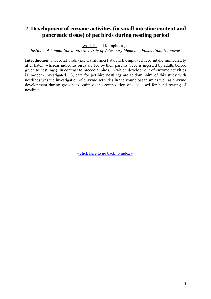## <span id="page-7-0"></span>**2. Development of enzyme activities (in small intestine content and pancreatic tissue) of pet birds during nestling period**

Wolf, P. and Kamphues , J.

*Institute of Animal Nutrition, University of Veterinary Medicine, Foundation, Hannover* 

**Introduction:** Precocial birds (i.e. Galliformes) start self-employed feed intake immediately after hatch, whereas nidicolus birds are fed by their parents (feed is ingested by adults before given to nestlings). In contrast to precocial birds, in which development of enzyme activities is in-depth investigated (1), data for pet bird nestlings are seldom. **Aim** of this study with nestlings was the investigation of enzyme activities in the young organism as well as enzyme development during growth to optimize the composition of diets used for hand rearing of nestlings.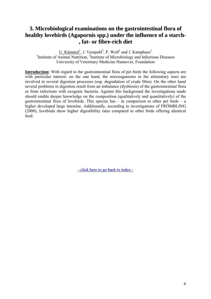## <span id="page-8-0"></span>**3. Microbiological examinations on the gastrointestinal flora of healthy lovebirds (Agapornis spp.) under the influence of a starch- , fat- or fibre-rich diet**

U. Kümmel<sup>1</sup>, J. Verspohl<sup>2</sup>, P. Wolf<sup>1</sup> and J. Kamphues<sup>1</sup> <sup>1</sup>Institute of Animal Nutrition, <sup>2</sup>Institute of Microbiology and Infectious Diseases University of Veterinary Medicine Hannover, Foundation

**Introduction:** With regard to the gastrointestinal flora of pet birds the following aspects are with particular interest: on the one hand, the microoganisms in the alimentary tract are involved in several digestion processes (esp. degradation of crude fibre). On the other hand several problems in digestion result from an imbalance (dysbiosis) of the gastrointestinal flora or from infections with exogenic bacteria. Against this background the investigations made should enable deeper knowledge on the composition (qualitatively and quantitatively) of the gastrointestinal flora of lovebirds. This species has  $-$  in comparison to other pet birds  $-$  a higher developed large intestine. Additionally, according to investigations of FRÖMBLING (2000), lovebirds show higher digestibility rates compared to other birds offering identical feed.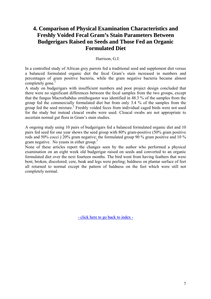## <span id="page-9-0"></span>**4. Comparison of Physical Examination Characteristics and Freshly Voided Fecal Gram's Stain Parameters Between Budgerigars Raised on Seeds and Those Fed an Organic Formulated Diet**

#### Harrison, G.J.

In a controlled study of African grey parrots fed a traditional seed and supplement diet versus a balanced formulated organic diet the fecal Gram's stain increased in numbers and percentages of gram positive bacteria, while the gram negative bacteria became almost completely gone.<sup>1</sup>

A study on budgerigars with insufficient numbers and poor project design concluded that there were no significant differences between the fecal samples from the two groups, except that the fungus Macrorhabdus ornithogaster was identified in 48.3 % of the samples from the group fed the commercially formulated diet but from only 3.4 % of the samples from the group fed the seed mixture.<sup>2</sup> Freshly voided feces from individual caged birds were not used for the study but instead cloacal swabs were used. Cloacal swabs are not appropriate to ascertain normal gut flora in Gram's stain studies.

A ongoing study using 10 pairs of budgerigars fed a balanced formulated organic diet and 10 pairs fed seed for one year shows the seed group with 80% gram-positive (50% gram positive rods and 50% cocci ) 20% gram negative; the formulated group 90 % gram positive and 10 % gram negative. No yeasts in either group.<sup>3</sup>

None of these articles report the changes seen by the author who performed a physical examination on an eight week old budgerigar raised on seeds and converted to an organic formulated diet over the next fourteen months. The bird went from having feathers that were bent, broken, discolored; cere, beak and legs were peeling; baldness on plantar surface of feet all returned to normal except the pattern of baldness on the feet which were still not completely normal.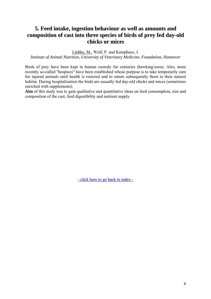## **5. Feed intake, ingestion behaviour as well as amounts and composition of cast into three species of birds of prey fed day-old chicks or mices**

Lüdtke, M., Wolf, P. and Kamphues, J.

*Institute of Animal Nutrition, University of Veterinary Medicine, Foundation, Hannover* 

Birds of prey have been kept in human custody for centuries (hawking/zoos). Also, more recently so-called "hospices" have been established whose purpose is to take temporarily care for injured animals until health is restored and to return subsequently them to their natural habitat. During hospitalization the birds are ususally fed day-old chicks and mices (sometimes enriched with supplements).

**Aim** of this study was to gain qualitative and quantitative ideas on feed consumption, size and composition of the cast, feed digestibility and nutrient supply.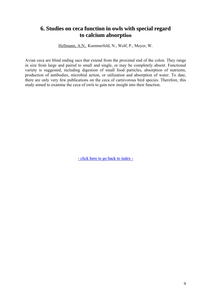## <span id="page-11-0"></span>**6. Studies on ceca function in owls with special regard to calcium absorption**

Hellmann, A.N., Kummerfeld, N., Wolf, P., Meyer, W.

Avian ceca are blind ending sacs that extend from the proximal end of the colon. They range in size from large and paired to small and single, or may be completely absent. Functional variety is suggested, including digestion of small food particles, absorption of nutrients, production of antibodies, microbial action, or utilization and absorption of water. To date, there are only very few publications on the ceca of carnivorous bird species. Therefore, this study aimed to examine the ceca of owls to gain new insight into their function.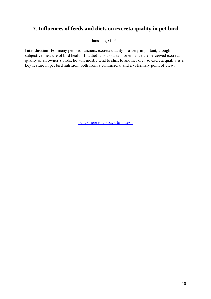## <span id="page-12-0"></span>**7. Influences of feeds and diets on excreta quality in pet bird**

Janssens, G. P.J.

**Introduction:** For many pet bird fanciers, excreta quality is a very important, though subjective measure of bird health. If a diet fails to sustain or enhance the perceived excreta quality of an owner's birds, he will mostly tend to shift to another diet, so excreta quality is a key feature in pet bird nutrition, both from a commercial and a veterinary point of view.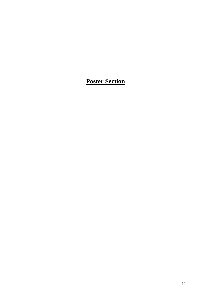## **Poster Section**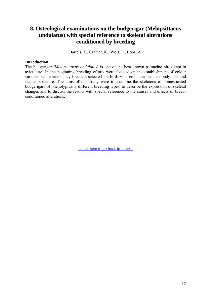## <span id="page-14-0"></span>**8. Osteological examinations on the budgerigar (Melopsittacus undulatus) with special reference to skeletal alterations conditioned by breeding**

Bartels, T., Cramer, K., Wolf, P., Boos, A.

#### **Introduction**

The budgerigar (*Melopsittacus undulatus*) is one of the best known psittacine birds kept in aviculture. In the beginning breeding efforts were focused on the establishment of colour variants, while later fancy breeders selected the birds with emphasis on their body size and feather structure. The aims of this study were to examine the skeletons of domesticated budgerigars of phenotypically different breeding types, to describe the expression of skeletal changes and to discuss the results with special reference to the causes and effects of breedconditioned alterations.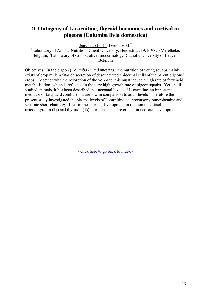## <span id="page-15-0"></span>**9. Ontogeny of L-carnitine, thyroid hormones and cortisol in pigeons (Columba livia domestica)**

 $Janssens G.P.J.<sup>1</sup>$ , Darras V.M.<sup>2</sup>

<sup>1</sup>Laboratory of Animal Nutrition, Ghent University, Heidestraat 19, B-9820 Merelbeke, Belgium; <sup>2</sup>Laboratory of Comparative Endocrinology, Catholic University of Leuven, Belgium

Objectives. In the pigeon (*Columba livia domestica*), the nutrition of young squabs mainly exists of crop milk, a fat-rich secretion of desquamated epidermal cells of the parent pigeons' crops. Together with the resorption of the yolk-sac, this must induce a high rate of fatty acid metabolisation, which is reflected in the very high growth rate of pigeon squabs. Yet, in all studied animals, it has been described that neonatal levels of L-carnitine, an important mediator of fatty acid combustion, are low in comparison to adult levels. Therefore the present study investigated the plasma levels of L-carnitine, its precursor γ-butyrobetaine and separate short-chain acyl-L-carnitines during development in relation to cortisol, triiodothyronin  $(T_3)$  and thyroxin  $(T_4)$ , hormones that are crucial in neonatal development.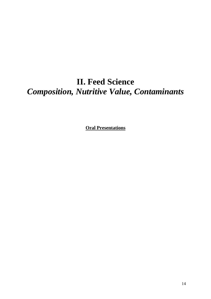# **II. Feed Science**  *Composition, Nutritive Value, Contaminants*

**Oral Presentations**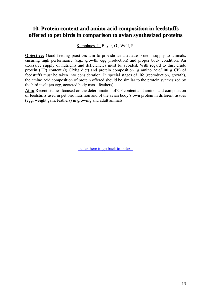## <span id="page-17-0"></span>**10. Protein content and amino acid composition in feedstuffs offered to pet birds in comparison to avian synthesized proteins**

Kamphues, J., Bayer, G., Wolf, P.

**Objective:** Good feeding practices aim to provide an adequate protein supply to animals, ensuring high performance (e.g., growth, egg production) and proper body condition. An excessive supply of nutrients and deficiencies must be avoided. With regard to this, crude protein (CP) content (g CP/kg diet) and protein composition (g amino acid/100 g CP) of feedstuffs must be taken into consideration. In special stages of life (reproduction, growth), the amino acid composition of protein offered should be similar to the protein synthesized by the bird itself (as egg, accreted body mass, feathers).

**Aim:** Recent studies focused on the determination of CP content and amino acid composition of feedstuffs used in pet bird nutrition and of the avian body's own protein in different tissues (egg, weight gain, feathers) in growing and adult animals.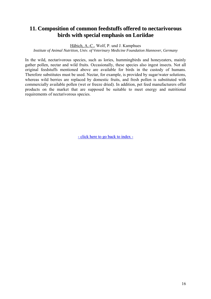## <span id="page-18-0"></span>**11. Composition of common feedstuffs offered to nectarivorous birds with special emphasis on Loriidae**

Häbich, A.-C., Wolf, P. und J. Kamphues

*Institute of Animal Nutrition, Univ. of Veterinary Medicine Foundation Hannover, Germany*

In the wild, nectarivorous species, such as lories, hummingbirds and honeyeaters, mainly gather pollen, nectar and wild fruits. Occasionally, these species also ingest insects. Not all original feedstuffs mentioned above are available for birds in the custody of humans. Therefore substitutes must be used. Nectar, for example, is provided by sugar/water solutions, whereas wild berries are replaced by domestic fruits, and fresh pollen is substituted with commercially available pollen (wet or freeze dried). In addition, pet feed manufacturers offer products on the market that are supposed be suitable to meet energy and nutritional requirements of nectarivorous species.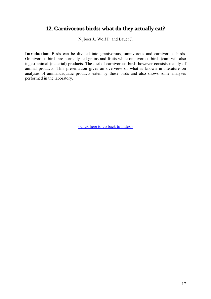## <span id="page-19-0"></span>**12. Carnivorous birds: what do they actually eat?**

Nijboer J., Wolf P. and Bauer J.

**Introduction:** Birds can be divided into granivorous, omnivorous and carnivorous birds. Granivorous birds are normally fed grains and fruits while omnivorous birds (can) will also ingest animal (material) products. The diet of carnivorous birds however consists mainly of animal products. This presentation gives an overview of what is known in literature on analyses of animals/aquatic products eaten by these birds and also shows some analyses performed in the laboratory.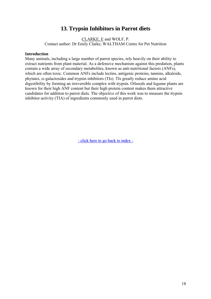## **13. Trypsin Inhibitors in Parrot diets**

CLARKE, E and WOLF, P. Contact author: Dr Emily Clarke, WALTHAM Centre for Pet Nutrition

#### <span id="page-20-0"></span>**Introduction**

Many animals, including a large number of parrot species, rely heavily on their ability to extract nutrients from plant material. As a defensive mechanism against this predation, plants contain a wide array of secondary metabolites, known as anti-nutritional factors (ANFs), which are often toxic. Common ANFs include lectins, antigenic proteins, tannins, alkaloids, phytates, α-galactosides and trypsin inhibitors (TIs). TIs greatly reduce amino acid digestibility by forming an irreversible complex with trypsin. Oilseeds and legume plants are known for their high ANF content but their high protein content makes them attractive candidates for addition to parrot diets. The objective of this work was to measure the trypsin inhibitor activity (TIA) of ingredients commonly used in parrot diets.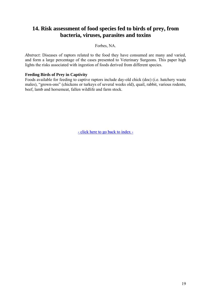## <span id="page-21-0"></span>**14. Risk assessment of food species fed to birds of prey, from bacteria, viruses, parasites and toxins**

Forbes, NA.

*Abstract*: Diseases of raptors related to the food they have consumed are many and varied, and form a large percentage of the cases presented to Veterinary Surgeons. This paper high lights the risks associated with ingestion of foods derived from different species.

#### **Feeding Birds of Prey in Captivity**

Foods available for feeding to captive raptors include day-old chick (doc) (i.e. hatchery waste males), "grown-ons" (chickens or turkeys of several weeks old), quail, rabbit, various rodents, beef, lamb and horsemeat, fallen wildlife and farm stock.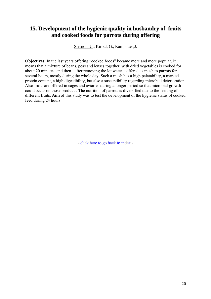## <span id="page-22-0"></span>**15. Development of the hygienic quality in husbandry of fruits and cooked foods for parrots during offering**

Siesnop, U., Kirpal, G., Kamphues,J.

**Objectives:** In the last years offering "cooked foods" became more and more popular. It means that a mixture of beans, peas and lenses together with dried vegetables is cooked for about 20 minutes, and then - after removing the lot water – offered as mush to parrots for several hours, mostly during the whole day. Such a mush has a high palatability, a marked protein content, a high digestibility, but also a susceptibility regarding microbial deterioration. Also fruits are offered in cages and aviaries during a longer period so that microbial growth could occur on those products. The nutrition of parrots is diversified due to the feeding of different fruits. **Aim** of this study was to test the development of the hygienic status of cooked feed during 24 hours.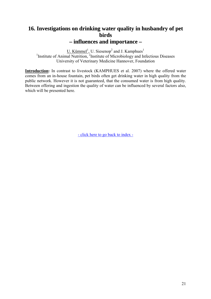## <span id="page-23-0"></span>**16. Investigations on drinking water quality in husbandry of pet birds – influences and importance –**

 $\underline{U}$ . Kümmel<sup>1</sup>, U. Siesenop<sup>2</sup> and J. Kamphues<sup>1</sup><br><sup>1</sup>Institute of Animal Nutrition, <sup>2</sup>Institute of Microbiology and Infectious Diseases University of Veterinary Medicine Hannover, Foundation

**Introduction:** In contrast to livestock (KAMPHUES et al. 2007) where the offered water comes from an in-house fountain, pet birds often get drinking water in high quality from the public network. However it is not guaranteed, that the consumed water is from high quality. Between offering and ingestion the quality of water can be influenced by several factors also, which will be presented here.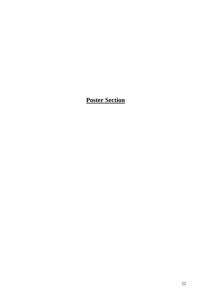## **Poster Section**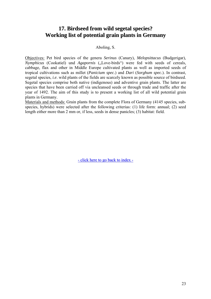## **17. Birdseed from wild segetal species? Working list of potential grain plants in Germany**

#### Aboling, S.

Objectives: Pet bird species of the genera *Serinus* (Canary), *Melopsittacus* (Budgerigar), *Nymphicus* (Cookatiel) und *Agapornis* ("Love-birds") were fed with seeds of cereals, cabbage, flax and other in Middle Europe cultivated plants as well as imported seeds of tropical cultivations such as millet (*Panicium spec.*) and *Dari* (*Sorghum spec.*). In contrast, segetal species, *i.e*. wild plants of the fields are scarcely known as possible source of birdseed. Segetal species comprise both native (indigenous) and adventive grain plants. The latter are species that have been carried off via uncleansed seeds or through trade and traffic after the year of 1492. The aim of this study is to present a working list of all wild potential grain plants in Germany.

Materials and methods: Grain plants from the complete Flora of Germany (4145 species, subspecies, hybrids) were selected after the following criterias: (1) life form: annual; (2) seed length either more than 2 mm or, if less, seeds in dense panicles; (3) habitat: field.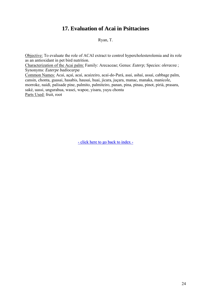## **17. Evaluation of Acai in Psittacines**

#### Ryan, T.

<span id="page-26-0"></span>Objective: To evaluate the role of ACAI extract to control hypercholesterolemia and its role as an antioxidant in pet bird nutrition.

Characterization of the Acai palm: Family: Arecaceae; Genus: *Euterp;* Species: *oleracea* ; Synonyms: *Euterpe badiocarpa* 

Common Names: Acai, açaí, acaí, acaizeiro, acaí-do-Pará, asai, ashaí, assaí, cabbage palm, cansin, chonta, guasai, hasabis, hausai, huai, jicara, juçara, manac, manaka, manicole, morroke, naidí, palisade pine, palmito, palmiteiro, panan, pina, pinau, pinot, piriá, prasara, saké, uassi, ungurahua, wasei, wapoe, yisara, yuyu chonta Parts Used: fruit, root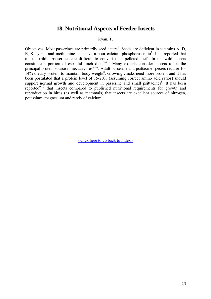### **18. Nutritional Aspects of Feeder Insects**

Ryan, T.

<span id="page-27-0"></span>Objectives: Most passerines are primarily seed eaters<sup>1</sup>. Seeds are deficient in vitamins A, D,  $\overline{E}$ ,  $\overline{K}$ , lysine and methionine and have a poor calcium-phosphorus ratio<sup>1</sup>. It is reported that most estrildid passerines are difficult to convert to a pelleted diet<sup>2</sup>. In the wild insects constitute a portion of estrildid finch diets<sup>3,4</sup>. Many experts consider insects to be the principal protein source in nectarivores<sup>5,6,7</sup>. Adult passerine and psittacine species require 10-14% dietary protein to maintain body weight<sup>8</sup>. Growing chicks need more protein and it has been postulated that a protein level of 15-20% (assuming correct amino acid ratios) should support normal growth and development in passerine and small psittacines<sup>8</sup>. It has been reported<sup>9,10</sup> that insects compared to published nutritional requirements for growth and reproduction in birds (as well as mammals) that insects are excellent sources of nitrogen, potassium, magnesium and rarely of calcium.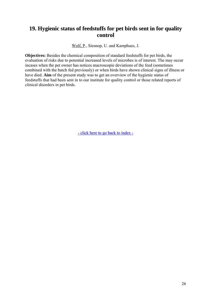## <span id="page-28-0"></span>**19. Hygienic status of feedstuffs for pet birds sent in for quality control**

Wolf, P., Siesnop, U. and Kamphues, J.

**Objectives:** Besides the chemical composition of standard feedstuffs for pet birds, the evaluation of risks due to potential increased levels of microbes is of interest. The may occur incases when the pet owner has notices macroscopie deviations of the feed (sometimes combined with the batch fed previously) or when birds have shown clinical signs of illness or have died. **Aim** of the present study was to get an overview of the hygienic status of feedstuffs that had been sent in to our institute for quality control or those related reports of clinical disorders in pet birds.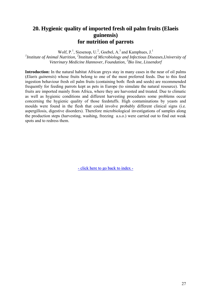## <span id="page-29-0"></span>**20. Hygienic quality of imported fresh oil palm fruits (Elaeis guinensis) for nutrition of parrots**

Wolf,  $P<sup>1</sup>$ , Siesenop, U.<sup>2</sup>, Goebel, A.<sup>3</sup> and Kamphues, J.<sup>1</sup>

<sup>1</sup> Institute of Animal Nutrition, <sup>2</sup> Institute of Microbiology and Infectious Diseases, University of *Veterinary Medicine Hannover, Foundation, <sup>3</sup> Bio line, Lissendorf* 

**Introduction:** In the natural habitat African greys stay in many cases in the near of oil palms (*Elaeis guinensis*) whose fruits belong to one of the most preferred feeds. Due to this feed ingestion behaviour fresh oil palm fruits (containing both: flesh and seeds) are recommended frequently for feeding parrots kept as pets in Europe (to simulate the natural resource). The fruits are imported mainly from Africa, where they are harvested and treated. Due to climatic as well as hygienic conditions and different harvesting procedures some problems occur concerning the hygienic quality of those feedstuffs. High contaminations by yeasts and moulds were found in the flesh that could involve probably different clinical signs (i.e. aspergillosis, digestive disorders). Therefore microbiological investigations of samples along the production steps (harvesting, washing, freezing a.s.o.) were carried out to find out weak spots and to redress them.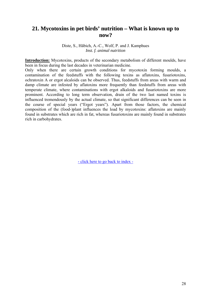### <span id="page-30-0"></span>**21. Mycotoxins in pet birds' nutrition – What is known up to now?**

Diste, S., Häbich, A.-C., Wolf, P. and J. Kamphues *Inst. f. animal nutrition* 

**Introduction:** Mycotoxins, products of the secondary metabolism of different moulds, have been in focus during the last decades in veterinarian medicine.

Only when there are certain growth conditions for mycotoxin forming moulds, a contamination of the feedstuffs with the following toxins as aflatoxins, fusariotoxins, ochratoxin A or ergot alcaloids can be observed. Thus, feedstuffs from areas with warm and damp climate are infested by aflatoxins more frequently than feedstuffs from areas with temperate climate, where contaminations with ergot alkaloids and fusariotoxins are more prominent. According to long term observation, drain of the two last named toxins is influenced tremendously by the actual climate, so that significant differences can be seen in the course of special years ("Ergot years"). Apart from those factors, the chemical composition of the (food-)plant influences the load by mycotoxins: aflatoxins are mainly found in substrates which are rich in fat, whereas fusariotoxins are mainly found in substrates rich in carbohydrates.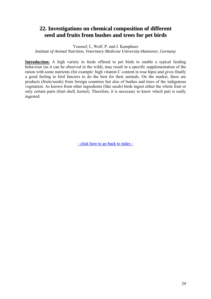## **22. Investigations on chemical composition of different seed and fruits from bushes and trees for pet birds**

Youssef, I., Wolf. P. and J. Kamphues

*Institute of Animal Nutrition, Veterinary Medicine University-Hannover, Germany*

Introduction: A high variety in feeds offered to pet birds to enable a typical feeding behaviour (as it can be observed in the wild), may result in a specific supplementation of the ration with some nutrients (for example: high vitamin C content in rose hips) and gives finally a good feeling to bird fanciers to do the best for their animals. On the market, there are products (fruits/seeds) from foreign countries but also of bushes and trees of the indigenous vegetation. As known from other ingredients (like seeds) birds ingest either the whole fruit or only certain parts (fruit shell, kernel). Therefore, it is necessary to know which part is really ingested.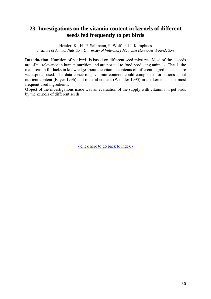## <span id="page-32-0"></span>**23. Investigations on the vitamin content in kernels of different seeds fed frequently to pet birds**

Heisler, K., H.-P. Sallmann, P. Wolf und J. Kamphues *Institute of Animal Nutrition, University of Veterinary Medicine Hannover, Foundation*

**Introduction**: Nutrition of pet birds is based on different seed mixtures. Most of these seeds are of no relevance in human nutrition and are not fed to food producing animals. That is the main reason for lacks in knowledge about the vitamin contents of different ingredients that are widespread used. The data concerning vitamin contents could complete informations about nutrient content (Bayer 1996) and mineral content (Wendler 1995) in the kernels of the most frequent used ingredients.

**Object** of the investigations made was an evaluation of the supply with vitamins in pet birds by the kernels of different seeds.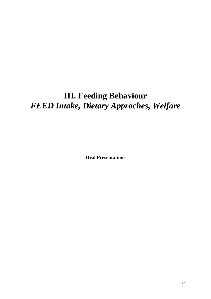# **III. Feeding Behaviour**  *FEED Intake, Dietary Approches, Welfare*

**Oral Presentations**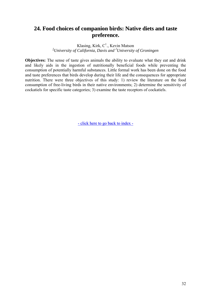## <span id="page-34-0"></span>**24. Food choices of companion birds: Native diets and taste preference.**

Klasing, Kirk,  $C^1$ ., Kevin Matson *1 University of California, Davis and <sup>2</sup> University of Groningen* 

**Objectives:** The sense of taste gives animals the ability to evaluate what they eat and drink and likely aids in the ingestion of nutritionally beneficial foods while preventing the consumption of potentially harmful substances. Little formal work has been done on the food and taste preferences that birds develop during their life and the consequences for appropriate nutrition. There were three objectives of this study: 1) review the literature on the food consumption of free-living birds in their native environments; 2) determine the sensitivity of cockatiels for specific taste categories; 3) examine the taste receptors of cockatiels.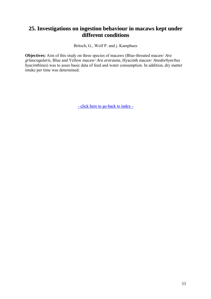## <span id="page-35-0"></span>**25. Investigations on ingestion behaviour in macaws kept under different conditions**

Britsch, G., Wolf P. and j. Kamphues

**Objectives:** Aim of this study on three species of macaws (Blue-throated macaw/ *Ara grlaucogularis,* Blue and Yellow macaw/ *Ara ararauna,* Hyacinth macaw/ *Anodorhynchus hyacinthinus*) was to asses basic data of feed and water consumption. In addition, dry matter intake per time was determined.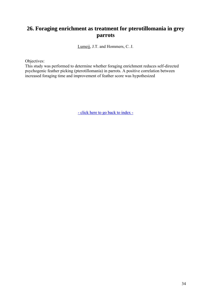# **26. Foraging enrichment as treatment for pterotillomania in grey parrots**

Lumeij, J.T. and Hommers, C. J.

Objectives:

This study was performed to determine whether foraging enrichment reduces self-directed psychogenic feather picking (pterotillomania) in parrots. A positive correlation between increased foraging time and improvement of feather score was hypothesized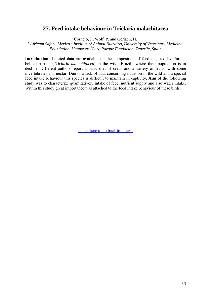### **27. Feed intake behaviour in Triclaria malachitacea**

Cornejo, J., Wolf, P. and Gerlach, H.

<sup>1</sup> Africam Safari, Mexico<sup>2</sup> Institute of Animal Nutrition, University of Veterinary Medicine, *Foundation, Hannover, 3 Loro Parque Fundacion, Tenerife, Spain* 

**Introduction:** Limited data are available on the composition of feed ingested by Purplebellied parrots (*Triclaria malachitacea*) in the wild (Brazil), where their population is in decline. Different authors report a basic diet of seeds and a variety of fruits, with some invertebrates and nectar. Due to a lack of data concerning nutrition in the wild and a special feed intake behaviour this species is difficult to maintain in captivity. **Aim** of the following study was to characterize quantitatively intake of feed, nutrient supply and also water intake. Within this study great importance was attached to the feed intake behaviour of these birds.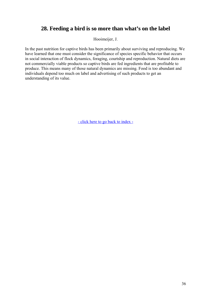# **28. Feeding a bird is so more than what's on the label**

Hooimeijer, J.

In the past nutrition for captive birds has been primarily about surviving and reproducing. We have learned that one must consider the significance of species specific behavior that occurs in social interaction of flock dynamics, foraging, courtship and reproduction. Natural diets are not commercially viable products so captive birds are fed ingredients that are profitable to produce. This means many of those natural dynamics are missing. Food is too abundant and individuals depend too much on label and advertising of such products to get an understanding of its value.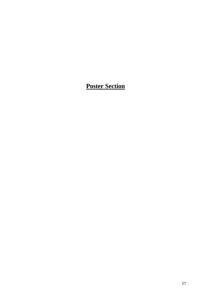# **Poster Section**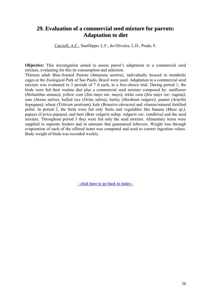### **29. Evaluation of a commercial seed mixture for parrots: Adaptation to diet**

Carciofi, A.C., Sanfilippo, L.F., de-Oliveira, L.D., Prada, F.

**Objective:** This investigation aimed to assess parrot's adaptation to a commercial seed mixture, evaluating for this its consumption and selection.

Thirteen adult Blue-fronted Parrots (*Amazona aestiva*), individually housed in metabolic cages at the Zoological Park of Sao Paulo, Brazil were used. Adaptation to a commercial seed mixture was evaluated in 3 periods of 7 d each, in a free-choice trial. During period 1, the birds were fed their routine diet plus a commercial seed mixture composed by: sunflower (*Helianthus annuus)*, yellow corn (*Zea mays var. mays)*, white corn (*Zea mays var. rugosa)*, oats (*Avena sativa*), hulled rice (*Oriza sativa)*, barley (*Hordeum vulgare)*, peanut (*Arachis hypogaea)*, wheat (*Triticum aestivum)*, kale (*Brassica oleracea)* and vitamin/mineral fortified pellet. In period 2, the birds were fed only fruits and vegetables like banana (*Musa sp.)*, papaya (*Carica papaya)*, and beet (*Beta vulgaris subsp. vulgaris var. conditiva)* and the seed mixture. Throughout period 3 they were fed only the seed mixture. Alimentary items were supplied in separate feeders and in amounts that guaranteed leftovers. Weight loss through evaporation of each of the offered items was computed and used to correct ingestion values. Body weight of birds was recorded weekly.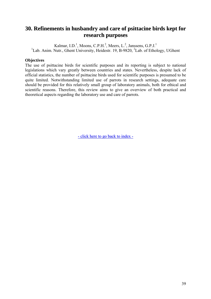# **30. Refinements in husbandry and care of psittacine birds kept for research purposes**

Kalmar, I.D.<sup>1</sup>, Moons, C.P.H.<sup>2</sup>, Meers, L.<sup>2</sup>, Janssens, G.P.J.<sup>1</sup> <sup>1</sup>Lab. Anim. Nutr., Ghent University, Heidestr. 19, B-9820, <sup>2</sup>Lab. of Ethology, UGhent

#### **Objectives**

The use of psittacine birds for scientific purposes and its reporting is subject to national legislations which vary greatly between countries and states. Nevertheless, despite lack of official statistics, the number of psittacine birds used for scientific purposes is presumed to be quite limited. Notwithstanding limited use of parrots in research settings, adequate care should be provided for this relatively small group of laboratory animals, both for ethical and scientific reasons. Therefore, this review aims to give an overview of both practical and theoretical aspects regarding the laboratory use and care of parrots.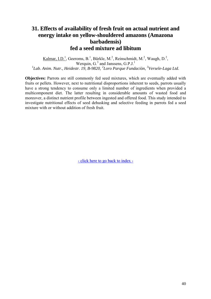# **31. Effects of availability of fresh fruit on actual nutrient and energy intake on yellow-shouldered amazons (Amazona barbadensis) fed a seed mixture ad libitum**

Kalmar, I.D.<sup>1</sup>, Geeroms, B.<sup>1</sup>, Bürkle, M.<sup>2</sup>, Reinschmidt, M.<sup>2</sup>, Waugh, D.<sup>2</sup>, Werquin,  $G<sup>3</sup>$  and Janssens,  $G.P.J.<sup>1</sup>$ <sup>1</sup>Lab. Anim. Nutr., Heidestr. 19, B-9820, <sup>2</sup>Loro Parque Fundaciòn, <sup>3</sup>Versele-Laga Ltd.

**Objectives:** Parrots are still commonly fed seed mixtures, which are eventually added with fruits or pellets. However, next to nutritional disproportions inherent to seeds, parrots usually have a strong tendency to consume only a limited number of ingredients when provided a multicomponent diet. The latter resulting in considerable amounts of wasted food and moreover, a distinct nutrient profile between ingested and offered food. This study intended to investigate nutritional effects of seed dehusking and selective feeding in parrots fed a seed mixture with or without addition of fresh fruit.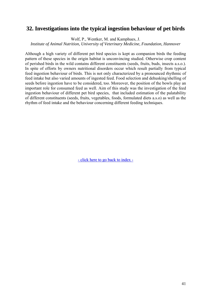## **32. Investigations into the typical ingestion behaviour of pet birds**

Wolf, P., Wentker, M. and Kamphues, J.

*Institute of Animal Nutrition, University of Veterinary Medicine, Foundation, Hannover* 

Although a high variety of different pet bird species is kept as companion birds the feeding pattern of these species in the origin habitat is unconvincing studied. Otherwise crop content of perished birds in the wild contains different constituents (seeds, fruits, buds, insects a.s.o.). In spite of efforts by owners nutritional disorders occur which result partially from typical feed ingestion behaviour of birds. This is not only characterized by a pronounced rhythmic of feed intake but also varied amounts of ingested feed. Food selection and dehusking/shelling of seeds before ingestion have to be considered, too. Moreover, the position of the bowls play an important role for consumed feed as well. Aim of this study was the investigation of the feed ingestion behaviour of different pet bird species, that included estimation of the palatability of different constituents (seeds, fruits, vegetables, foods, formulated diets a.s.o) as well as the rhythm of feed intake and the behaviour concerning different feeding techniques.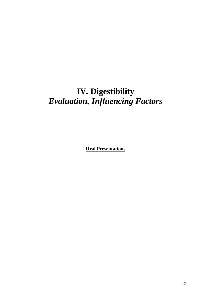# **IV. Digestibility**  *Evaluation, Influencing Factors*

**Oral Presentations**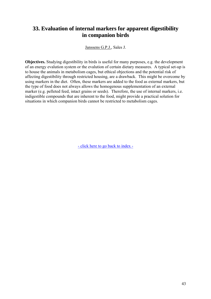# **33. Evaluation of internal markers for apparent digestibility in companion birds**

Janssens G.P.J., Sales J.

**Objectives.** Studying digestibility in birds is useful for many purposes, e.g. the development of an energy evalution system or the evalution of certain dietary measures. A typical set-up is to house the animals in metabolism cages, but ethical objections and the potential risk of affecting digestibility through restricted housing, are a drawback. This might be overcome by using markers in the diet. Often, these markers are added to the food as external markers, but the type of food does not always allows the homogenous supplementation of an external marker (e.g. pelleted feed, intact grains or seeds). Therefore, the use of internal markers, i.e. indigestible compounds that are inherent to the food, might provide a practical solution for situations in which companion birds cannot be restricted to metabolism cages.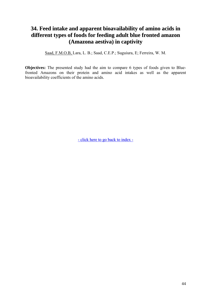# **34. Feed intake and apparent bioavailability of amino acids in different types of foods for feeding adult blue fronted amazon (Amazona aestiva) in captivity**

Saad, F.M.O.B, Lara, L. B.; Saad, C.E.P.; Suguiura, E; Ferreira, W. M.

**Objectives:** The presented study had the aim to compare 6 types of foods given to Bluefronted Amazons on their protein and amino acid intakes as well as the apparent bioavailability coefficients of the amino acids.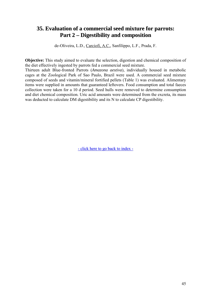### **35. Evaluation of a commercial seed mixture for parrots: Part 2 – Digestibility and composition**

de-Oliveira, L.D., Carciofi, A.C., Sanfilippo, L.F., Prada, F.

**Objective:** This study aimed to evaluate the selection, digestion and chemical composition of the diet effectively ingested by parrots fed a commercial seed mixture.

Thirteen adult Blue-fronted Parrots (*Amazona aestiva*), individually housed in metabolic cages at the Zoological Park of Sao Paulo, Brazil were used. A commercial seed mixture composed of seeds and vitamin/mineral fortified pellets (Table 1) was evaluated. Alimentary items were supplied in amounts that guaranteed leftovers. Food consumption and total faeces collection were taken for a 10 d period. Seed hulls were removed to determine consumption and diet chemical composition. Uric acid amounts were determined from the excreta, its mass was deducted to calculate DM digestibility and its N to calculate CP digestibility.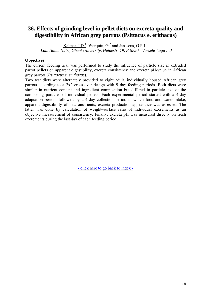# **36. Effects of grinding level in pellet diets on excreta quality and digestibility in African grey parrots (Psittacus e. erithacus)**

Kalmar, I.D.<sup>1</sup>, Werquin,  $G<sup>2</sup>$  and Janssens,  $G.P.J.<sup>1</sup>$ <sup>1</sup>Lab. Anim. Nutr., Ghent University, Heidestr. 19, B-9820, <sup>2</sup>Versele-Laga Ltd

#### **Objectives**

The current feeding trial was performed to study the influence of particle size in extruded parrot pellets on apparent digestibility, excreta consistency and excreta pH-value in African grey parrots (*Psittacus e. erithacus*).

Two test diets were alternately provided to eight adult, individually housed African grey parrots according to a 2x2 cross-over design with 9 day feeding periods. Both diets were similar in nutrient content and ingredient composition but differed in particle size of the composing particles of individual pellets. Each experimental period started with a 4-day adaptation period, followed by a 4-day collection period in which food and water intake, apparent digestibility of macronutrients, excreta production appearance was assessed. The latter was done by calculation of weight–surface ratio of individual excrements as an objective measurement of consistency. Finally, excreta pH was measured directly on fresh excrements during the last day of each feeding period.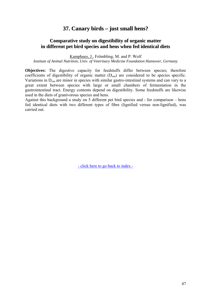### **37. Canary birds – just small hens?**

#### **Comparative study on digestibility of organic matter in different pet bird species and hens when fed identical diets**

Kamphues, J., Frömbling, M. and P. Wolf

*Institute of Animal Nutrition, Univ. of Veterinary Medicine Foundation Hannover, Germany* 

**Objectives:** The digestive capacity for feedstuffs differ between species; therefore coefficients of digestibility of organic matter  $(D_{om})$  are considered to be species specific. Variations in Dom are minor in species with similar gastro-intestinal systems and can vary to a great extent between species with large or small chambers of fermentation in the gastrointestinal tract. Energy contents depend on digestibility. Some feedstuffs are likewise used in the diets of granivorous species and hens.

Against this background a study on 5 different pet bird species and - for comparison – hens fed identical diets with two different types of fibre (lignified versus non-lignified), was carried out.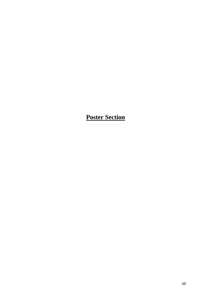**Poster Section**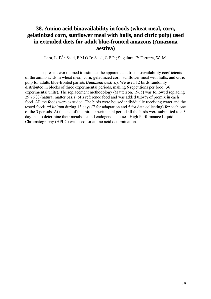# **38. Amino acid bioavailability in foods (wheat meal, corn, gelatinized corn, sunflower meal with hulls, and citric pulp) used in extruded diets for adult blue-fronted amazons (Amazona aestiva)**

Lara, L.  $B^1$ ; Saad, F.M.O.B; Saad, C.E.P.; Suguiura, E; Ferreira, W. M.

The present work aimed to estimate the apparent and true bioavailability coefficients of the amino acids in wheat meal, corn, gelatinized corn, sunflower meal with hulls, and citric pulp for adults blue-fronted parrots (*Amazona aestiva*). We used 12 birds randomly distributed in blocks of three experimental periods, making 6 repetitions per food (36 experimental units). The replacement methodology (Matterson, 1965) was followed replacing 29.76 % (natural matter basis) of a reference food and was added 0.24% of premix in each food. All the foods were extruded. The birds were housed individually receiving water and the tested foods *ad libitum* during 13 days (7 for adaptation and 5 for data collecting) for each one of the 3 periods. At the end of the third experimental period all the birds were submitted to a 3 day fast to determine their metabolic and endogenous losses. High Performance Liquid Chromatography (HPLC) was used for amino acid determination.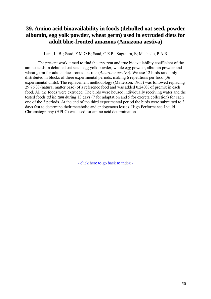# **39. Amino acid bioavailability in foods (dehulled oat seed, powder albumin, egg yolk powder, wheat germ) used in extruded diets for adult blue-fronted amazons (Amazona aestiva)**

Lara, L. B<sup>1</sup>; Saad, F.M.O.B; Saad, C.E.P.; Suguiura, E; Machado, P.A.R

The present work aimed to find the apparent and true bioavailability coefficient of the amino acids in dehulled oat seed, egg yolk powder, whole egg powder, albumin powder and wheat germ for adults blue-fronted parrots (*Amazona aestiva*). We use 12 birds randomly distributed in blocks of three experimental periods, making 6 repetitions per food (36 experimental units). The replacement methodology (Matterson, 1965) was followed replacing 29.76 % (natural matter base) of a reference food and was added 0,240% of premix in each food. All the foods were extruded. The birds were housed individually receiving water and the tested foods *ad libitum* during 13 days (7 for adaptation and 5 for excreta collection) for each one of the 3 periods. At the end of the third experimental period the birds were submitted to 3 days fast to determine their metabolic and endogenous losses. High Performance Liquid Chromatography (HPLC) was used for amino acid determination.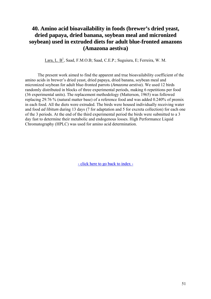# **40. Amino acid bioavailability in foods (brewer's dried yeast, dried papaya, dried banana, soybean meal and micronized soybean) used in extruded diets for adult blue-fronted amazons (Amazona aestiva)**

Lara, L. B<sup>1</sup>, Saad, F.M.O.B; Saad, C.E.P.; Suguiura, E; Ferreira, W. M.

The present work aimed to find the apparent and true bioavailability coefficient of the amino acids in brewer's dried yeast, dried papaya, dried banana, soybean meal and micronized soybean for adult blue-fronted parrots (*Amazona aestiva*). We used 12 birds randomly distributed in blocks of three experimental periods, making 6 repetitions per food (36 experimental units). The replacement methodology (Matterson, 1965) was followed replacing 29.76 % (natural matter base) of a reference food and was added 0.240% of premix in each food. All the diets were extruded. The birds were housed individually receiving water and food *ad libitum* during 13 days (7 for adaptation and 5 for excreta collection) for each one of the 3 periods. At the end of the third experimental period the birds were submitted to a 3 day fast to determine their metabolic and endogenous losses. High Performance Liquid Chromatography (HPLC) was used for amino acid determination.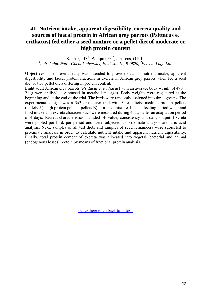# **41. Nutrient intake, apparent digestibility, excreta quality and sources of faecal protein in African grey parrots (Psittacus e. erithacus) fed either a seed mixture or a pellet diet of moderate or high protein content**

Kalmar, I.D.<sup>1</sup>, Werquin, G.<sup>2</sup>, Janssens, G.P.J.<sup>1</sup> <sup>1</sup>Lab. Anim. Nutr., Ghent University, Heidestr. 19, B-9820, <sup>2</sup>Versele-Laga Ltd.

**Objectives:** The present study was intended to provide data on nutrient intake, apparent digestibility and faecal protein fractions in excreta in African grey parrots when fed a seed diet or two pellet diets differing in protein content.

Eight adult African grey parrots (*Psittacus e. erithacus*) with an average body weight of  $490 \pm$ 21 g were individually housed in metabolism cages. Body weights were registered at the beginning and at the end of the trial. The birds were randomly assigned into three groups. The experimental design was a 3x3 cross-over trial with 3 test diets: medium protein pellets (pellets A), high protein pellets (pellets B) or a seed mixture. In each feeding period water and food intake and excreta characteristics were measured during 4 days after an adaptation period of 4 days. Excreta characteristics included pH-value, consistency and daily output. Excreta were pooled per bird, per period and were subjected to proximate analysis and uric acid analysis. Next, samples of all test diets and samples of seed remainders were subjected to proximate analysis in order to calculate nutrient intake and apparent nutrient digestibility. Finally, total protein content of excreta was allocated into vegetal, bacterial and animal (endogenous losses) protein by means of fractional protein analysis.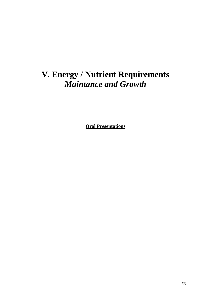# **V. Energy / Nutrient Requirements**  *Maintance and Growth*

**Oral Presentations**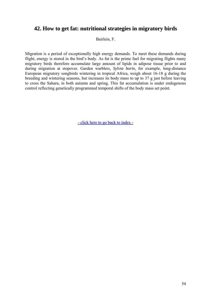## **42. How to get fat: nutritional strategies in migratory birds**

Bairlein, F.

Migration is a period of exceptionally high energy demands. To meet these demands during flight, energy is stored in the bird's body. As fat is the prime fuel for migrating flights many migratory birds therefore accumulate large amount of lipids in adipose tissue prior to and during migration at stopover. Garden warblers, *Sylvia borin*, for example, long-distance European migratory songbirds wintering in tropical Africa, weigh about 16-18 g during the breeding and wintering seasons, but increases its body mass to up to 37 g just before leaving to cross the Sahara, in both autumn and spring. This fat accumulation is under endogenous control reflecting genetically programmed temporal shifts of the body mass set point.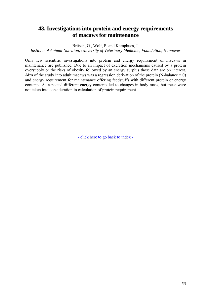### **43. Investigations into protein and energy requirements of macaws for maintenance**

Britsch, G., Wolf, P. and Kamphues, J.

*Institute of Animal Nutrition, University of Veterinary Medicine, Foundation, Hannover* 

Only few scientific investigations into protein and energy requirement of macaws in maintenance are published. Due to an impact of excretion mechanisms caused by a protein oversupply or the risks of obesity followed by an energy surplus those data are on interest. **Aim** of the study into adult macaws was a regression derivation of the protein (N-balance  $= 0$ ) and energy requirement for maintenance offering feedstuffs with different protein or energy contents. As aspected different energy contents led to changes in body mass, but these were not taken into consideration in calculation of protein requirement.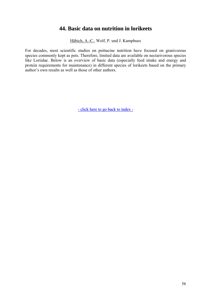### **44. Basic data on nutrition in lorikeets**

Häbich, A.-C., Wolf, P. und J. Kamphues

For decades, most scientific studies on psittacine nutrition have focused on granivorous species commonly kept as pets. Therefore, limited data are available on nectarivorous species like Loriidae. Below is an overview of basic data (especially feed intake and energy and protein requirements for maintenance) in different species of lorikeets based on the primary author's own results as well as those of other authors.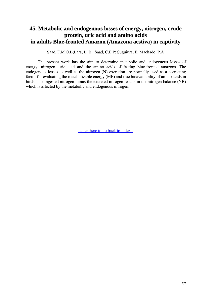# **45. Metabolic and endogenous losses of energy, nitrogen, crude protein, uric acid and amino acids in adults Blue-fronted Amazon (Amazona aestiva) in captivity**

Saad, F.M.O.B;Lara, L. B ; Saad, C.E.P; Suguiura, E; Machado, P.A

The present work has the aim to determine metabolic and endogenous losses of energy, nitrogen, uric acid and the amino acids of fasting blue-fronted amazons. The endogenous losses as well as the nitrogen (N) excretion are normally used as a correcting factor for evaluating the metabolizable energy (ME) and true bioavailability of amino acids in birds. The ingested nitrogen minus the excreted nitrogen results in the nitrogen balance (NB) which is affected by the metabolic and endogenous nitrogen.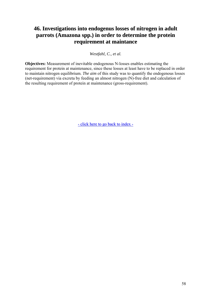# **46. Investigations into endogenus losses of nitrogen in adult parrots (Amazona spp.) in order to determine the protein requirement at maintance**

*Westfahl, C., et al.* 

**Objectives:** Measurement of inevitable endogenous N-losses enables estimating the requirement for protein at maintenance, since these losses at least have to be replaced in order to maintain nitrogen equilibrium. *The aim* of this study was to quantify the endogenous losses (net-requirement) via excreta by feeding an almost nitrogen (N)-free diet and calculation of the resulting requirement of protein at maintenance (gross-requirement).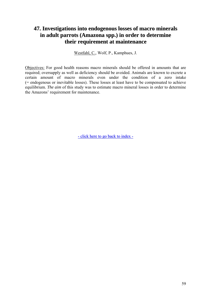# **47. Investigations into endogenous losses of macro minerals in adult parrots (Amazona spp.) in order to determine their requirement at maintenance**

Westfahl, C., Wolf, P., Kamphues, J.

Objectives: For good health reasons macro minerals should be offered in amounts that are required; oversupply as well as deficiency should be avoided. Animals are known to excrete a certain amount of macro minerals even under the condition of a zero intake (= endogenous or inevitable losses). These losses at least have to be compensated to achieve equilibrium. *The aim* of this study was to estimate macro mineral losses in order to determine the Amazons' requirement for maintenance.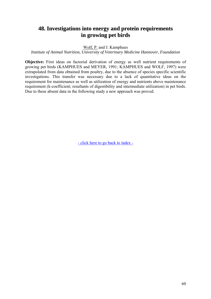# **48. Investigations into energy and protein requirements in growing pet birds**

Wolf, P. and J. Kamphues

*Institute of Animal Nutrition, University of Veterinary Medicine Hannover, Foundation* 

**Objective:** First ideas on factorial derivation of energy as well nutrient requirements of growing pet birds (KAMPHUES and MEYER, 1991; KAMPHUES and WOLF, 1997) were extrapolated from data obtained from poultry, due to the absence of species specific scientific investigations. This transfer was necessary due to a lack of quantitative ideas on the requirement for maintenance as well as utilization of energy and nutrients above maintenance requirement (k-coefficient; resultants of digestibility and intermediate utilization) in pet birds. Due to these absent data in the following study a new approach was proved.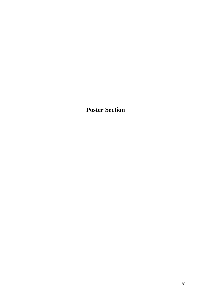# **Poster Section**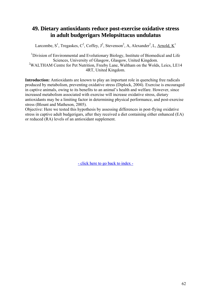# **49. Dietary antioxidants reduce post-exercise oxidative stress in adult budgerigars Melopsittacus undulatus**

Larcombe, S<sup>1</sup>, Tregaskes, C<sup>2</sup>, Coffey, J<sup>2</sup>, Stevenson<sup>2</sup>, A, Alexander<sup>2</sup>, L, Arnold, K<sup>1</sup>

<sup>1</sup>Division of Environmental and Evolutionary Biology, Institute of Biomedical and Life Sciences, University of Glasgow, Glasgow, United Kingdom. <sup>2</sup>WALTHAM Centre for Pet Nutrition, Freeby Lane, Waltham on the Wolds, Leics, LE14 4RT, United Kingdom.

**Introduction:** Antioxidants are known to play an important role in quenching free radicals produced by metabolism, preventing oxidative stress (Diplock, 2004). Exercise is encouraged in captive animals, owing to its benefits to an animal's health and welfare. However, since increased metabolism associated with exercise will increase oxidative stress, dietary antioxidants may be a limiting factor in determining physical performance, and post-exercise stress (Blount and Matheson, 2005).

Objective: Here we tested this hypothesis by assessing differences in post-flying oxidative stress in captive adult budgerigars, after they received a diet containing either enhanced (EA) or reduced (RA) levels of an antioxidant supplement.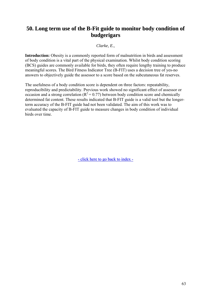# **50. Long term use of the B-Fit guide to monitor body condition of budgerigars**

#### *Clarke, E.,*

**Introduction:** Obesity is a commonly reported form of malnutrition in birds and assessment of body condition is a vital part of the physical examination. Whilst body condition scoring (BCS) guides are commonly available for birds, they often require lengthy training to produce meaningful scores. The Bird Fitness Indicator Tree (B-FIT) uses a decision tree of yes-no answers to objectively guide the assessor to a score based on the subcutaneous fat reserves.

The usefulness of a body condition score is dependent on three factors: repeatability, reproducibility and predictability. Previous work showed no significant effect of assessor or occasion and a strong correlation ( $R^2 = 0.77$ ) between body condition score and chemically determined fat content. These results indicated that B-FIT guide is a valid tool but the longerterm accuracy of the B-FIT guide had not been validated. The aim of this work was to evaluated the capacity of B-FIT guide to measure changes in body condition of individual birds over time.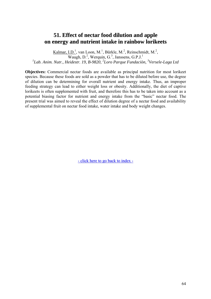### **51. Effect of nectar food dilution and apple on energy and nutrient intake in rainbow lorikeets**

Kalmar, I.D.<sup>1</sup>, van Loon, M.<sup>1</sup>, Bürkle, M.<sup>2</sup>, Reinschmidt, M.<sup>2</sup>,  $\overline{\text{Waugh}}$ , D.<sup>2</sup>, Werquin, G.<sup>3</sup>, Janssens, G.P.J.<sup>1</sup> *1 Lab. Anim. Nutr., Heidestr. 19, B-9820, 2 Loro Parque Fundaciòn, <sup>3</sup> Versele-Laga Ltd*

**Objectives:** Commercial nectar foods are available as principal nutrition for most lorikeet species. Because these foods are sold as a powder that has to be diluted before use, the degree of dilution can be determining for overall nutrient and energy intake. Thus, an improper feeding strategy can lead to either weight loss or obesity. Additionally, the diet of captive lorikeets is often supplemented with fruit, and therefore this has to be taken into account as a potential biasing factor for nutrient and energy intake from the "basic" nectar food. The present trial was aimed to reveal the effect of dilution degree of a nectar food and availability of supplemental fruit on nectar food intake, water intake and body weight changes.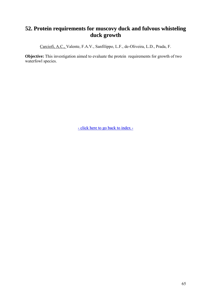# **52. Protein requirements for muscovy duck and fulvous whisteling duck growth**

Carciofi, A.C., Valente, F.A.V., Sanfilippo, L.F., de-Oliveira, L.D., Prada, F.

**Objective:** This investigation aimed to evaluate the protein requirements for growth of two waterfowl species.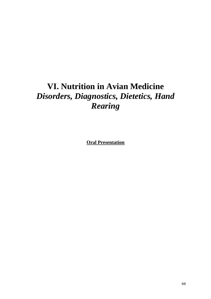# **VI. Nutrition in Avian Medicine**  *Disorders, Diagnostics, Dietetics, Hand Rearing*

**Oral Presentation**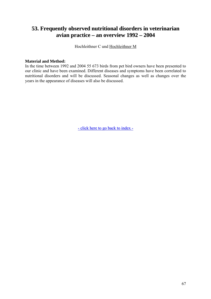# **53. Frequently observed nutritional disorders in veterinarian avian practice – an overview 1992 – 2004**

Hochleithner C und Hochleithner M

#### **Material and Method:**

In the time between 1992 and 2004 55 673 birds from pet bird owners have been presented to our clinic and have been examined. Different diseases and symptoms have been correlated to nutritional disorders and will be discussed. Seasonal changes as well as changes over the years in the appearance of diseases will also be discussed.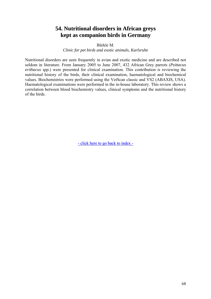## **54. Nutritional disorders in African greys kept as companion birds in Germany**

Bürkle M.

*Clinic for pet birds and exotic animals, Karlsruhe* 

Nutritional disorders are seen frequently in avian and exotic medicine and are described not seldom in literature. From January 2005 to June 2007, 432 African Grey parrots (*Psittacus erithacus spp.*) were presented for clinical examination. This contribution is reviewing the nutritional history of the birds, their clinical examination, haematological and biochemical values. Biochemistries were performed using the VetScan classic and VS2 (ABAXIS, USA). Haematological examinations were performed in the in-house laboratory. This review shows a correlation between blood biochemistry values, clinical symptoms and the nutritional history of the birds.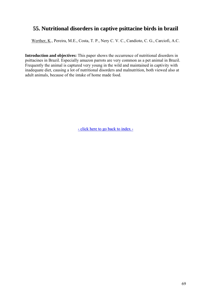# **55. Nutritional disorders in captive psittacine birds in brazil**

Werther, K., Pereira, M.E., Costa, T. P., Nery C. V. C., Candioto, C. G., Carciofi, A.C.

**Introduction and objectives:** This paper shows the occurrence of nutritional disorders in psittacines in Brazil. Especially amazon parrots are very common as a pet animal in Brazil. Frequently the animal is captured very young in the wild and maintained in captivity with inadequate diet, causing a lot of nutritional disorders and malnutrition, both viewed also at adult animals, because of the intake of home made food.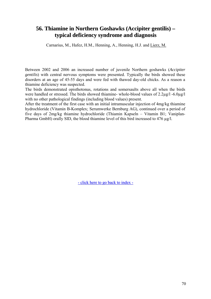#### **56. Thiamine in Northern Goshawks (Accipiter gentilis) – typical deficiency syndrome and diagnosis**

Carnarius, M., Hafez, H.M., Henning, A., Henning, H.J. and Lierz, M.

Between 2002 and 2006 an increased number of juvenile Northern goshawks (*Accipiter gentilis*) with central nervous symptoms were presented. Typically the birds showed these disorders at an age of 45-55 days and were fed with thawed day-old chicks. As a reason a thiamine deficiency was suspected.

The birds demonstrated opisthotonus, rotations and somersaults above all when the birds were handled or stressed. The birds showed thiamine- whole-blood values of 2.2µg/l -6.0µg/l with no other pathological findings (including blood values) present.

After the treatment of the first case with an initial intramuscular injection of 4mg/kg thiamine hydrochloride (Vitamin B-Komplex; Serumwerke Bernburg AG), continued over a period of five days of 2mg/kg thiamine hydrochloride (Thiamin Kapseln – Vitamin B1; Vaniplan-Pharma GmbH) orally SID, the blood thiamine level of this bird increased to 476 ug/l.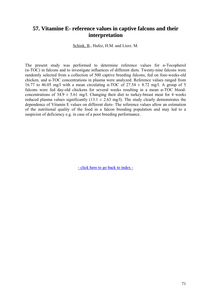#### **57. Vitamine E- reference values in captive falcons and their interpretation**

Schink, B., Hafez, H.M. and Lierz. M.

The present study was performed to determine reference values for  $\alpha$ -Tocopherol (α-TOC) in falcons and to investigate influences of different diets. Twenty-nine falcons were randomly selected from a collection of 500 captive breeding falcons, fed on four-weeks-old chicken, and α-TOC concentrations in plasma were analyzed. Reference values ranged from 16.77 to 46.05 mg/l with a mean circulating  $\alpha$ -TOC of 27.54  $\pm$  8.72 mg/l. A group of 5 falcons were fed day-old chickens for several weeks resulting in a mean α-TOC bloodconcentrations of  $34.9 \pm 5.61$  mg/l. Changing their diet to turkey-breast meat for 4 weeks reduced plasma values significantly  $(13.1 \pm 2.63 \text{ mg/l})$ . The study clearly demonstrates the dependence of Vitamin E values on different diets- The reference values allow an estimation of the nutritional quality of the food in a falcon breeding population and may led to a suspicion of deficiency e.g. in case of a poor breeding performance.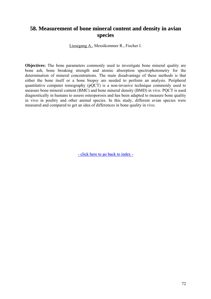### **58. Measurement of bone mineral content and density in avian species**

Liesegang A., Messikommer R., Fischer I.

**Objectives:** The bone parameters commonly used to investigate bone mineral quality are bone ash, bone breaking strength and atomic absorption spectrophotometry for the determination of mineral concentrations. The main disadvantage of these methods is that either the bone itself or a bone biopsy are needed to perform an analysis. Peripheral quantitative computer tomography (pQCT) is a non-invasive technique commonly used to measure bone mineral content (BMC) and bone mineral density (BMD) in vivo. PQCT is used diagnostically in humans to assess osteoporosis and has been adapted to measure bone quality in vivo in poultry and other animal species. In this study, different avian species were measured and compared to get an idea of differences in bone quality in vivo.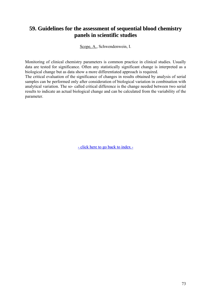# **59. Guidelines for the assessment of sequential blood chemistry panels in scientific studies**

Scope, A., Schwendenwein, I.

Monitoring of clinical chemistry parameters is common practice in clinical studies. Usually data are tested for significance. Often any statistically significant change is interpreted as a biological change but as data show a more differentiated approach is required.

The critical evaluation of the significance of changes in results obtained by analysis of serial samples can be performed only after consideration of biological variation in combination with analytical variation. The so- called critical difference is the change needed between two serial results to indicate an actual biological change and can be calculated from the variability of the parameter.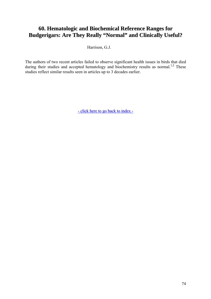# **60. Hematologic and Biochemical Reference Ranges for Budgerigars: Are They Really "Normal" and Clinically Useful?**

Harrison, G.J.

The authors of two recent articles failed to observe significant health issues in birds that died during their studies and accepted hematology and biochemistry results as normal.<sup>1,2</sup> These studies reflect similar results seen in articles up to 3 decades earlier.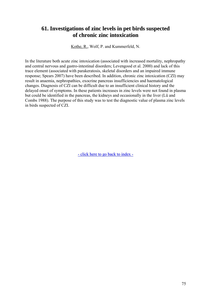# **61. Investigations of zinc levels in pet birds suspected of chronic zinc intoxication**

Kothe, R., Wolf, P. and Kummerfeld, N.

In the literature both acute zinc intoxication (associated with increased mortality, nephropathy and central nervous and gastro-intestinal disorders; Levengood et al. 2000) and lack of this trace element (associated with parakeratosis, skeletal disorders and an impaired immune response; Spears 2007) have been described. In addition, chronic zinc intoxication (CZI) may result in anaemia, nephropathies, exocrine pancreas insufficiencies and haematological changes. Diagnosis of CZI can be difficult due to an insufficient clinical history and the delayed onset of symptoms. In these patients increases in zinc levels were not found in plasma but could be identified in the pancreas, the kidneys and occasionally in the liver (Lü and Combs 1988). The purpose of this study was to test the diagnostic value of plasma zinc levels in birds suspected of CZI.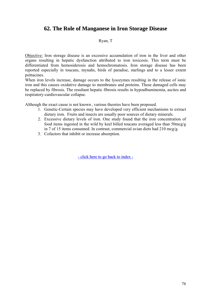#### **62. The Role of Manganese in Iron Storage Disease**

#### Ryan, T

Objective: Iron storage disease is an excessive accumulation of iron in the liver and other organs resulting in hepatic dysfunction attributed to iron toxicosis. This term must be differentiated from hemosiderosis and hemochromatosis. Iron storage disease has been reported especially in toucans, mynahs, birds of paradise, starlings and to a lesser extent psittacines.

When iron levels increase, damage occurs to the lysozymes resulting in the release of ionic iron and this causes oxidative damage to membranes and proteins. These damaged cells may be replaced by fibrosis. The resultant hepatic fibrosis results in hypoalbuminemia, ascites and respiratory-cardiovascular collapse.

Although the exact cause is not known , various theories have been proposed.

- 1. Genetic-Certain species may have developed very efficient mechanisms to extract dietary iron. Fruits and insects are usually poor sources of dietary minerals.
- 2. Excessive dietary levels of iron. One study found that the iron concentration of food items ingested in the wild by keel billed toucans averaged less than 50mcg/g in 7 of 15 items consumed. In contrast, commercial avian diets had 210 mcg/g.
- 3. Cofactors that inhibit or increase absorption.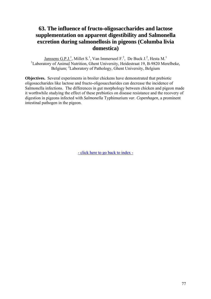# **63. The influence of fructo-oligosaccharides and lactose supplementation on apparent digestibility and Salmonella excretion during salmonellosis in pigeons (Columba livia domestica)**

 $Janssens G.P.J.<sup>1</sup>$ , Millet S.<sup>1</sup>, Van Immerseel F.<sup>2</sup>, De Buck J.<sup>2</sup>, Hesta M.<sup>1</sup> <sup>1</sup>Laboratory of Animal Nutrition, Ghent University, Heidestraat 19, B-9820 Merelbeke, Belgium; <sup>2</sup>Laboratory of Pathology, Ghent University, Belgium

**Objectives.** Several experiments in broiler chickens have demonstrated that prebiotic oligosaccharides like lactose and fructo-oligosaccharides can decrease the incidence of Salmonella infections. The differences in gut morphology between chicken and pigeon made it worthwhile studying the effect of these prebiotics on disease resistance and the recovery of digestion in pigeons infected with *Salmonella* Typhimurium *var. Copenhagen*, a prominent intestinal pathogen in the pigeon.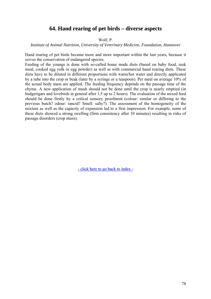#### **64. Hand rearing of pet birds – diverse aspects**

#### Wolf, P.

*Institute of Animal Nutrition, University of Veterinary Medicine, Foundation, Hannover* 

Hand rearing of pet birds became more and more important within the last years, because it serves the conservation of endangered species.

Feeding of the youngs is done with so-called home made diets (based on baby food, rusk meal, cooked egg yolk or egg powder) as well as with commercial hand rearing diets. These diets have to be diluted in different proportions with warm/hot water and directly applicated by a tube into the crop or beak (later by a syringe or a teaspoon). Per meal on average 10% of the actual body mass are applied. The feeding frequency depends on the passage time of the chyme. A new application of mush should not be done until the crop is nearly emptied (in budgerigars and lovebirds in general after 1,5 up to 2 hours). The evaluation of the mixed feed should be done firstly by a critical sensory proofment (colour: similar or differing to the previous butch? odour: rancid? Smell: salty?). The assessment of the homogeneity of the mixture as well as the capacity of expansion led to a first impression. For example, some of these diets showed a strong swelling (firm consistency after 10 minutes) resulting in risks of passage disorders (crop stasis).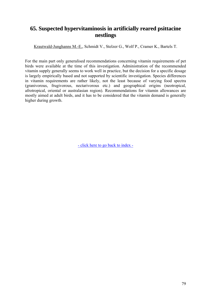# **65. Suspected hypervitaminosis in artificially reared psittacine nestlings**

Krautwald-Junghanns M.-E., Schmidt V., Stelzer G., Wolf P., Cramer K., Bartels T.

For the main part only generalised recommendations concerning vitamin requirements of pet birds were available at the time of this investigation. Administration of the recommended vitamin supply generally seems to work well in practice, but the decision for a specific dosage is largely empirically based and not supported by scientific investigation. Species differences in vitamin requirements are rather likely, not the least because of varying food spectra (granivorous, frugivorous, nectarivorous etc.) and geographical origins (neotropical, afrotropical, oriental or australasian region). Recommendations for vitamin allowances are mostly aimed at adult birds, and it has to be considered that the vitamin demand is generally higher during growth.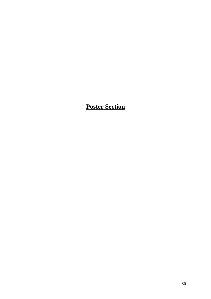# **Poster Section**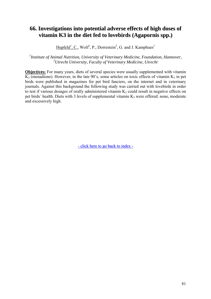# **66. Investigations into potential adverse effects of high doses of vitamin K3 in the diet fed to lovebirds (Agapornis spp.)**

 $Hupfeld$ <sup>1</sup>, C., Wolf<sup>1</sup>, P., Dorrestein<sup>2</sup>, G. and J. Kamphues<sup>1</sup>

<sup>1</sup> Institute of Animal Nutrition, University of Veterinary Medicine, Foundation, Hannover, *2 Utrecht University, Faculty of Veterinary Medicine, Utrecht* 

**Objectives:** For many years, diets of several species were usually supplemented with vitamin  $K_3$  (menadione). However, in the late 90's, some articles on toxic effects of vitamin  $K_3$  in pet birds were published in magazines for pet bird fanciers, on the internet and in veterinary journals. Against this background the following study was carried out with lovebirds in order to test if various dosages of orally administered vitamin  $K_3$  could result in negative effects on pet birds` health. Diets with 3 levels of supplemental vitamin  $K_3$  were offered: none, moderate and excessively high.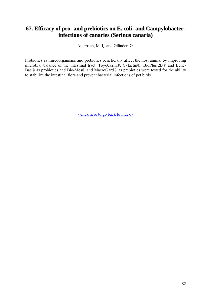### **67. Efficacy of pro- and prebiotics on E. coli- and Campylobacterinfections of canaries (Serinus canaria)**

Auerbach, M. I. and Glünder, G.

Probiotics as mircoorganisms and prebiotics beneficially affect the host animal by improving microbial balance of the intestinal tract. ToyoCerin®, Cylactin®, BioPlus 2B® and Bene-Bac® as probiotics and Bio-Mos® and MacroGard® as prebiotics were tested for the ability to stabilize the intestinal flora and prevent bacterial infections of pet birds.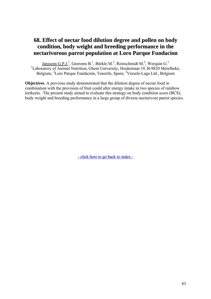#### **68. Effect of nectar food dilution degree and pollen on body condition, body weight and breeding performance in the nectarivorous parrot population at Loro Parque Fundacion**

Janssens G.P.J.<sup>1</sup>, Geeroms B.<sup>1</sup>, Bürkle M.<sup>2</sup>, Reinschmidt M.<sup>2</sup>, Werquin G.<sup>3</sup> <sup>1</sup>Laboratory of Animal Nutrition, Ghent University, Heidestraat 19, B-9820 Merelbeke, Belgium, <sup>2</sup>Loro Parque Fundación, Tenerife, Spain; <sup>3</sup>Versele-Laga Ltd., Belgium

**Objectives**. A previous study demonstrated that the dilution degree of nectar food in combination with the provision of fruit could alter energy intake in two species of rainbow lorikeets. The present study aimed to evaluate this strategy on body condition score (BCS), body weight and breeding performance in a large group of diverse nectarivore parrot species.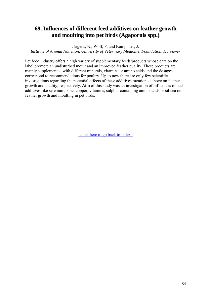# **69. Influences of different feed additives on feather growth and moulting into pet birds (Agapornis spp.)**

Jürgens, N., Wolf, P. and Kamphues, J. *Institute of Animal Nutrition, University of Veterinary Medicine, Foundation, Hannover* 

Pet food industry offers a high variety of supplementary feeds/products whose data on the label promote an undisturbed moult and an improved feather quality. These products are mainly supplemented with different minerals, vitamins or amino acids and the dosages correspond to recommendations for poultry. Up to now there are only few scientific investigations regarding the potential effects of these additives mentioned above on feather growth and quality, respectively. **Aim** of this study was an investigation of influences of such additives like selenium, zinc, copper, vitamins, sulphur containing amino acids or silicea on feather growth and moulting in pet birds.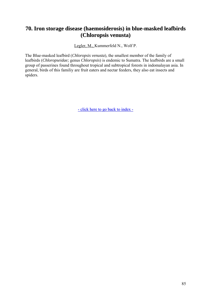# **70. Iron storage disease (haemosiderosis) in blue-masked leafbirds (Chloropsis venusta)**

Legler, M., Kummerfeld N., Wolf P.

The Blue-masked leafbird (*Chloropsis venusta*), the smallest member of the family of leafbirds (*Chloropseidae;* genus *Chloropsis*) is endemic to Sumatra. The leafbirds are a small group of passerines found throughout tropical and subtropical forests in indomalayan asia. In general, birds of this familiy are fruit eaters and nectar feeders, they also eat insects and spiders.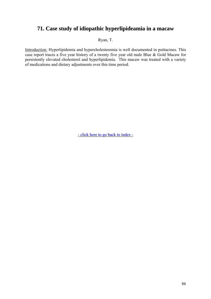# **71. Case study of idiopathic hyperlipideamia in a macaw**

Ryan, T.

Introduction: Hyperlipidemia and hypercholesteremia is well documented in psittacines. This case report traces a five year history of a twenty five year old male Blue & Gold Macaw for persistently elevated cholesterol and hyperlipidemia. This macaw was treated with a variety of medications and dietary adjustments over this time period.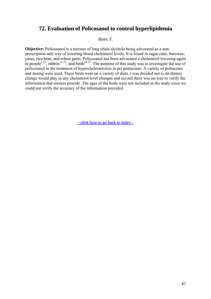#### **72. Evaluation of Policosanol to control hyperlipidemia**

*Ryan, T.* 

**Objective:** Policosanol is a mixture of long chain alcohols being advocated as a nonprescription safe way of lowering blood cholesterol levels. It is found in sugar cane, beeswax, yams, rice bran, and wheat germ. Policosanol has been advocated a cholesterol lowering agent in people<sup>1-10</sup>, rabbits<sup>11-13</sup>, and birds<sup>14-15</sup>. The purpose of this study was to investigate the use of policosanol in the treatment of hypercholesteremia in pet psittacines. A variety of psittacines and dosing were used. These birds were on a variety of diets. t was decided not to do dietary change would play in any cholesterol level changes and second there was no way to verify the information that owners procide .The ages of the birds were not included in the study since we could not verify the accuracy of the information provided.